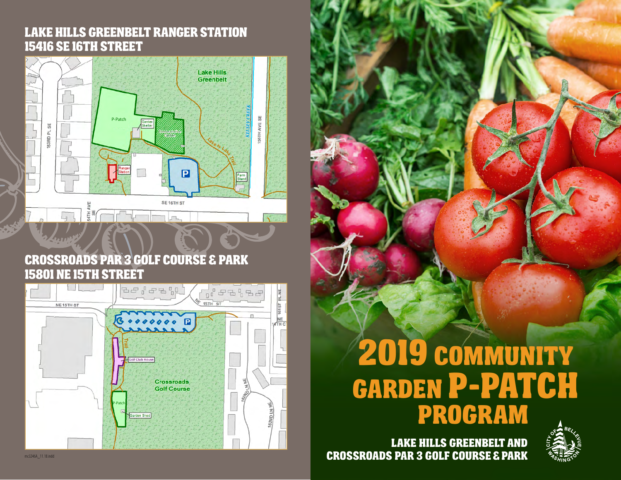#### Lake Hills Greenbelt Ranger Station **15416 SE 16TH STREET**



#### Crossroads Par 3 Golf course & Park 15801 NE 15th Street



# 2019 Community Garden P-Patch Program



**Administrative Office** Lake Hills Greenbelt Ranger Station 1541 SE 16th St  $-25$ 

you! Returning gardeners will be given the first opportunity to renew for the following year in early 2014. Remaining P-Patches will be offered to gardeners on our waitlist (with Bellevue residents given priority). To be added to our waitinglist or for more information  $p_{\text{max}}$ 

 $\mathcal{C}$ **Mailing Address**  $\blacksquare$ 1602 NE 8th St.  $\blacksquare$ 

7225.

Lake Hills Greenbelt AND Crossroads PAR 3 Golf Course & Park

**Crossroads Park Par 3**

15801 NE 15th St.

**Lake Hills Greenbelt**

**Ranger Station**

**Seasonal Plot**

**Year-round Plot**

 $\mathbb{R}^n$ 

**Garden Locations**

**Seasonal Plot Schedule** Opening Date: April 12, 2014 Closing Date: October 19, 2014

> **Plot Fees Bellevue Resident**

\$60.00

\$70.00\*\*

10 Seasonal Plots

mailing list. Seasonal P-Patches are open from April-October 2014.

 $32.$ 

 $\sqrt{2}$ 

 $3.4$ 

**Non-Resident**

 $^{\prime\prime}$ 

\$80.00\*\*

mc3246A\_11.18.indd